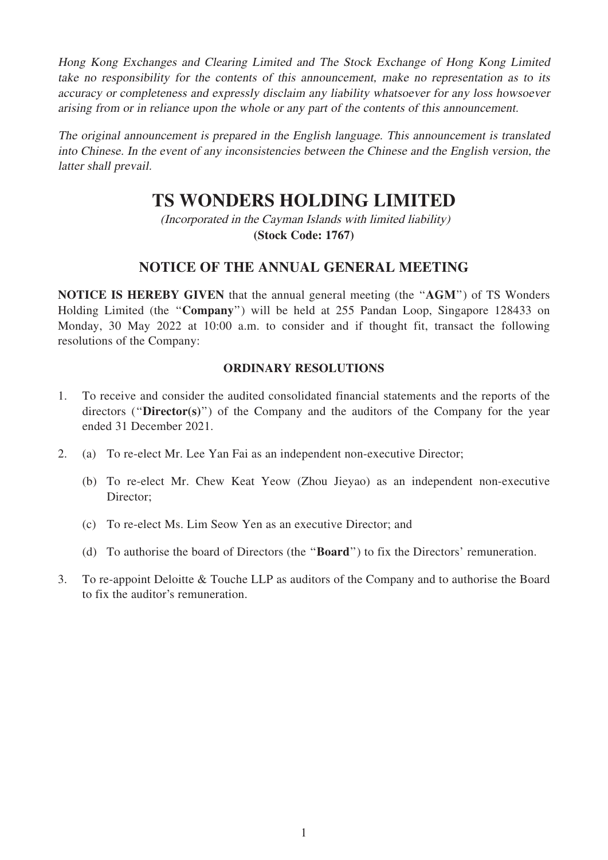Hong Kong Exchanges and Clearing Limited and The Stock Exchange of Hong Kong Limited take no responsibility for the contents of this announcement, make no representation as to its accuracy or completeness and expressly disclaim any liability whatsoever for any loss howsoever arising from or in reliance upon the whole or any part of the contents of this announcement.

The original announcement is prepared in the English language. This announcement is translated into Chinese. In the event of any inconsistencies between the Chinese and the English version, the latter shall prevail.

# **TS WONDERS HOLDING LIMITED**

(Incorporated in the Cayman Islands with limited liability) **(Stock Code: 1767)**

## NOTICE OF THE ANNUAL GENERAL MEETING

NOTICE IS HEREBY GIVEN that the annual general meeting (the ''AGM'') of TS Wonders Holding Limited (the ''Company'') will be held at 255 Pandan Loop, Singapore 128433 on Monday, 30 May 2022 at 10:00 a.m. to consider and if thought fit, transact the following resolutions of the Company:

#### ORDINARY RESOLUTIONS

- 1. To receive and consider the audited consolidated financial statements and the reports of the directors ("Director(s)") of the Company and the auditors of the Company for the year ended 31 December 2021.
- 2. (a) To re-elect Mr. Lee Yan Fai as an independent non-executive Director;
	- (b) To re-elect Mr. Chew Keat Yeow (Zhou Jieyao) as an independent non-executive Director;
	- (c) To re-elect Ms. Lim Seow Yen as an executive Director; and
	- (d) To authorise the board of Directors (the ''Board'') to fix the Directors' remuneration.
- 3. To re-appoint Deloitte & Touche LLP as auditors of the Company and to authorise the Board to fix the auditor's remuneration.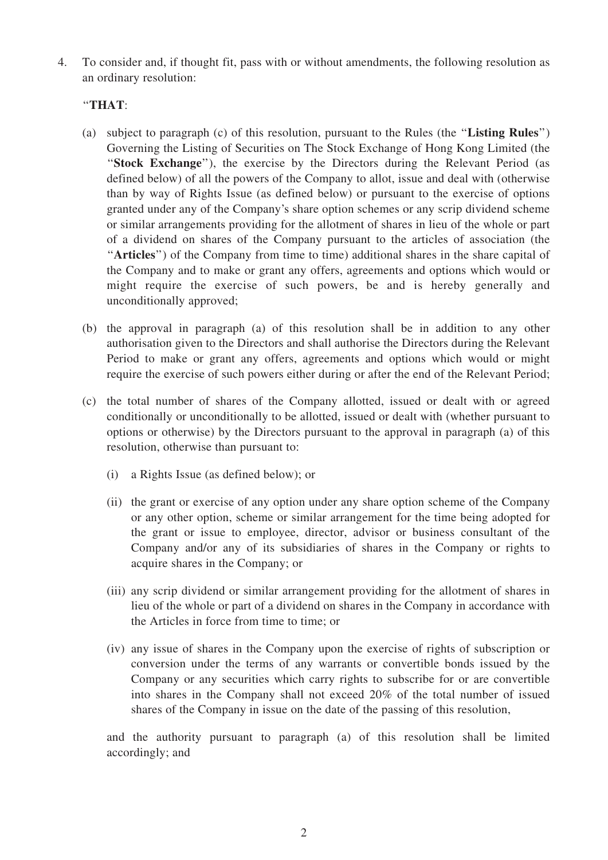4. To consider and, if thought fit, pass with or without amendments, the following resolution as an ordinary resolution:

### ''THAT:

- (a) subject to paragraph (c) of this resolution, pursuant to the Rules (the ''Listing Rules'') Governing the Listing of Securities on The Stock Exchange of Hong Kong Limited (the "Stock Exchange"), the exercise by the Directors during the Relevant Period (as defined below) of all the powers of the Company to allot, issue and deal with (otherwise than by way of Rights Issue (as defined below) or pursuant to the exercise of options granted under any of the Company's share option schemes or any scrip dividend scheme or similar arrangements providing for the allotment of shares in lieu of the whole or part of a dividend on shares of the Company pursuant to the articles of association (the "Articles") of the Company from time to time) additional shares in the share capital of the Company and to make or grant any offers, agreements and options which would or might require the exercise of such powers, be and is hereby generally and unconditionally approved;
- (b) the approval in paragraph (a) of this resolution shall be in addition to any other authorisation given to the Directors and shall authorise the Directors during the Relevant Period to make or grant any offers, agreements and options which would or might require the exercise of such powers either during or after the end of the Relevant Period;
- (c) the total number of shares of the Company allotted, issued or dealt with or agreed conditionally or unconditionally to be allotted, issued or dealt with (whether pursuant to options or otherwise) by the Directors pursuant to the approval in paragraph (a) of this resolution, otherwise than pursuant to:
	- (i) a Rights Issue (as defined below); or
	- (ii) the grant or exercise of any option under any share option scheme of the Company or any other option, scheme or similar arrangement for the time being adopted for the grant or issue to employee, director, advisor or business consultant of the Company and/or any of its subsidiaries of shares in the Company or rights to acquire shares in the Company; or
	- (iii) any scrip dividend or similar arrangement providing for the allotment of shares in lieu of the whole or part of a dividend on shares in the Company in accordance with the Articles in force from time to time; or
	- (iv) any issue of shares in the Company upon the exercise of rights of subscription or conversion under the terms of any warrants or convertible bonds issued by the Company or any securities which carry rights to subscribe for or are convertible into shares in the Company shall not exceed 20% of the total number of issued shares of the Company in issue on the date of the passing of this resolution,

and the authority pursuant to paragraph (a) of this resolution shall be limited accordingly; and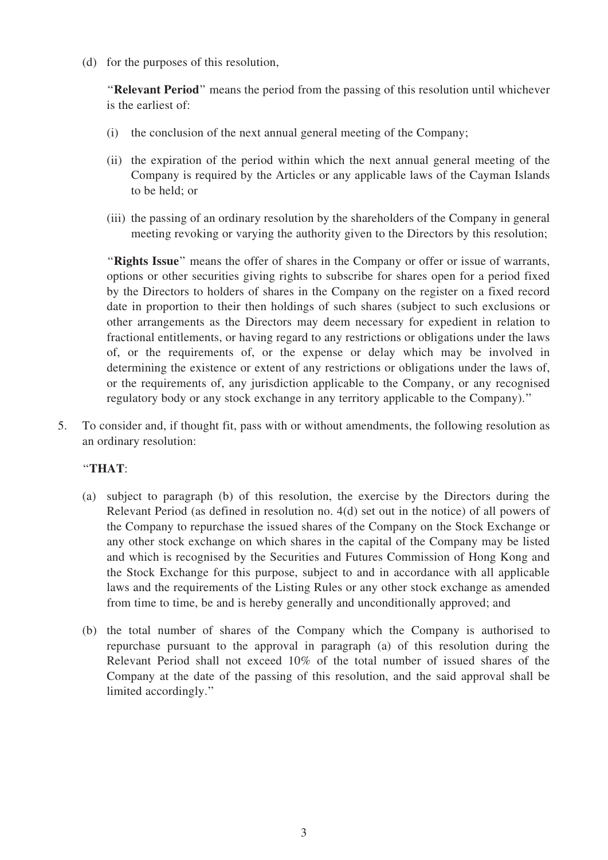(d) for the purposes of this resolution,

"Relevant Period" means the period from the passing of this resolution until whichever is the earliest of:

- (i) the conclusion of the next annual general meeting of the Company;
- (ii) the expiration of the period within which the next annual general meeting of the Company is required by the Articles or any applicable laws of the Cayman Islands to be held; or
- (iii) the passing of an ordinary resolution by the shareholders of the Company in general meeting revoking or varying the authority given to the Directors by this resolution;

"Rights Issue" means the offer of shares in the Company or offer or issue of warrants, options or other securities giving rights to subscribe for shares open for a period fixed by the Directors to holders of shares in the Company on the register on a fixed record date in proportion to their then holdings of such shares (subject to such exclusions or other arrangements as the Directors may deem necessary for expedient in relation to fractional entitlements, or having regard to any restrictions or obligations under the laws of, or the requirements of, or the expense or delay which may be involved in determining the existence or extent of any restrictions or obligations under the laws of, or the requirements of, any jurisdiction applicable to the Company, or any recognised regulatory body or any stock exchange in any territory applicable to the Company).''

5. To consider and, if thought fit, pass with or without amendments, the following resolution as an ordinary resolution:

#### ''THAT:

- (a) subject to paragraph (b) of this resolution, the exercise by the Directors during the Relevant Period (as defined in resolution no. 4(d) set out in the notice) of all powers of the Company to repurchase the issued shares of the Company on the Stock Exchange or any other stock exchange on which shares in the capital of the Company may be listed and which is recognised by the Securities and Futures Commission of Hong Kong and the Stock Exchange for this purpose, subject to and in accordance with all applicable laws and the requirements of the Listing Rules or any other stock exchange as amended from time to time, be and is hereby generally and unconditionally approved; and
- (b) the total number of shares of the Company which the Company is authorised to repurchase pursuant to the approval in paragraph (a) of this resolution during the Relevant Period shall not exceed 10% of the total number of issued shares of the Company at the date of the passing of this resolution, and the said approval shall be limited accordingly.''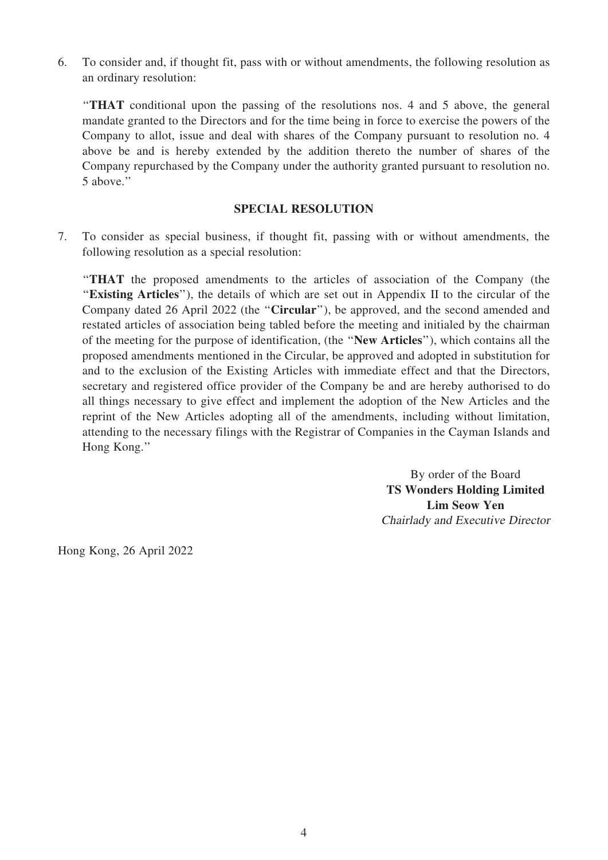6. To consider and, if thought fit, pass with or without amendments, the following resolution as an ordinary resolution:

''THAT conditional upon the passing of the resolutions nos. 4 and 5 above, the general mandate granted to the Directors and for the time being in force to exercise the powers of the Company to allot, issue and deal with shares of the Company pursuant to resolution no. 4 above be and is hereby extended by the addition thereto the number of shares of the Company repurchased by the Company under the authority granted pursuant to resolution no. 5 above.''

#### SPECIAL RESOLUTION

7. To consider as special business, if thought fit, passing with or without amendments, the following resolution as a special resolution:

''THAT the proposed amendments to the articles of association of the Company (the "Existing Articles"), the details of which are set out in Appendix II to the circular of the Company dated 26 April 2022 (the ''Circular''), be approved, and the second amended and restated articles of association being tabled before the meeting and initialed by the chairman of the meeting for the purpose of identification, (the ''New Articles''), which contains all the proposed amendments mentioned in the Circular, be approved and adopted in substitution for and to the exclusion of the Existing Articles with immediate effect and that the Directors, secretary and registered office provider of the Company be and are hereby authorised to do all things necessary to give effect and implement the adoption of the New Articles and the reprint of the New Articles adopting all of the amendments, including without limitation, attending to the necessary filings with the Registrar of Companies in the Cayman Islands and Hong Kong.''

> By order of the Board TS Wonders Holding Limited Lim Seow Yen Chairlady and Executive Director

Hong Kong, 26 April 2022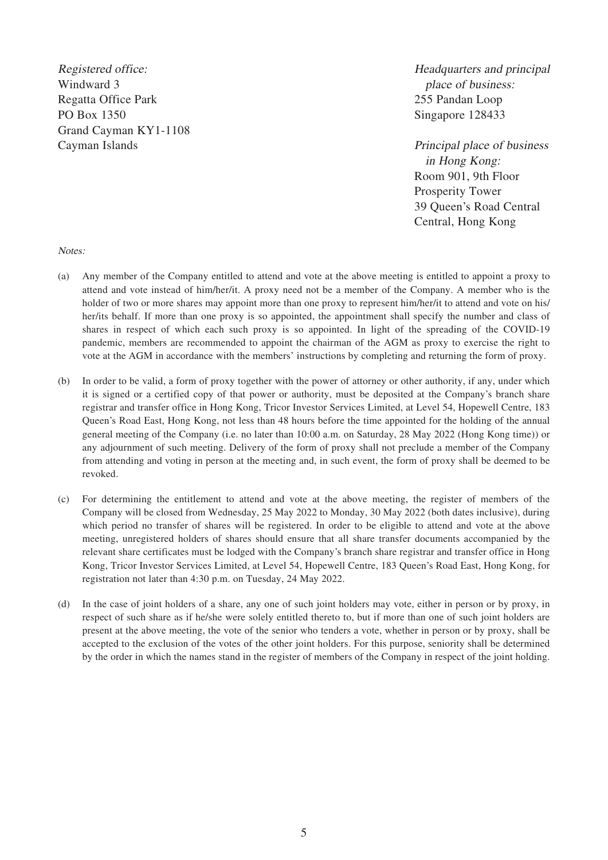Registered office: Windward 3 Regatta Office Park PO Box 1350 Grand Cayman KY1-1108 Cayman Islands

Headquarters and principal place of business: 255 Pandan Loop Singapore 128433

Principal place of business in Hong Kong: Room 901, 9th Floor Prosperity Tower 39 Queen's Road Central Central, Hong Kong

Notes:

- (a) Any member of the Company entitled to attend and vote at the above meeting is entitled to appoint a proxy to attend and vote instead of him/her/it. A proxy need not be a member of the Company. A member who is the holder of two or more shares may appoint more than one proxy to represent him/her/it to attend and vote on his/ her/its behalf. If more than one proxy is so appointed, the appointment shall specify the number and class of shares in respect of which each such proxy is so appointed. In light of the spreading of the COVID-19 pandemic, members are recommended to appoint the chairman of the AGM as proxy to exercise the right to vote at the AGM in accordance with the members' instructions by completing and returning the form of proxy.
- (b) In order to be valid, a form of proxy together with the power of attorney or other authority, if any, under which it is signed or a certified copy of that power or authority, must be deposited at the Company's branch share registrar and transfer office in Hong Kong, Tricor Investor Services Limited, at Level 54, Hopewell Centre, 183 Queen's Road East, Hong Kong, not less than 48 hours before the time appointed for the holding of the annual general meeting of the Company (i.e. no later than 10:00 a.m. on Saturday, 28 May 2022 (Hong Kong time)) or any adjournment of such meeting. Delivery of the form of proxy shall not preclude a member of the Company from attending and voting in person at the meeting and, in such event, the form of proxy shall be deemed to be revoked.
- (c) For determining the entitlement to attend and vote at the above meeting, the register of members of the Company will be closed from Wednesday, 25 May 2022 to Monday, 30 May 2022 (both dates inclusive), during which period no transfer of shares will be registered. In order to be eligible to attend and vote at the above meeting, unregistered holders of shares should ensure that all share transfer documents accompanied by the relevant share certificates must be lodged with the Company's branch share registrar and transfer office in Hong Kong, Tricor Investor Services Limited, at Level 54, Hopewell Centre, 183 Queen's Road East, Hong Kong, for registration not later than 4:30 p.m. on Tuesday, 24 May 2022.
- (d) In the case of joint holders of a share, any one of such joint holders may vote, either in person or by proxy, in respect of such share as if he/she were solely entitled thereto to, but if more than one of such joint holders are present at the above meeting, the vote of the senior who tenders a vote, whether in person or by proxy, shall be accepted to the exclusion of the votes of the other joint holders. For this purpose, seniority shall be determined by the order in which the names stand in the register of members of the Company in respect of the joint holding.